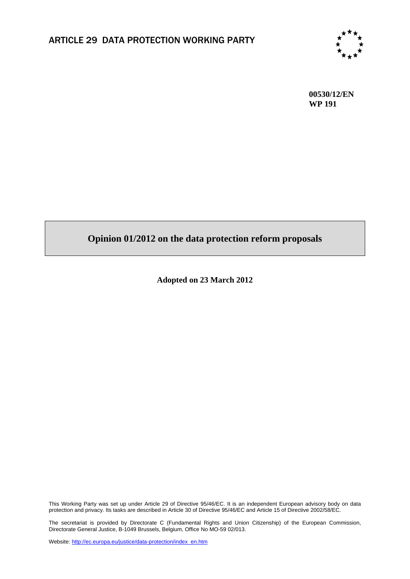

**00530/12/EN WP 191**

# **Opinion 01/2012 on the data protection reform proposals**

**Adopted on 23 March 2012** 

This Working Party was set up under Article 29 of Directive 95/46/EC. It is an independent European advisory body on data protection and privacy. Its tasks are described in Article 30 of Directive 95/46/EC and Article 15 of Directive 2002/58/EC.

The secretariat is provided by Directorate C (Fundamental Rights and Union Citizenship) of the European Commission, Directorate General Justice, B-1049 Brussels, Belgium, Office No MO-59 02/013.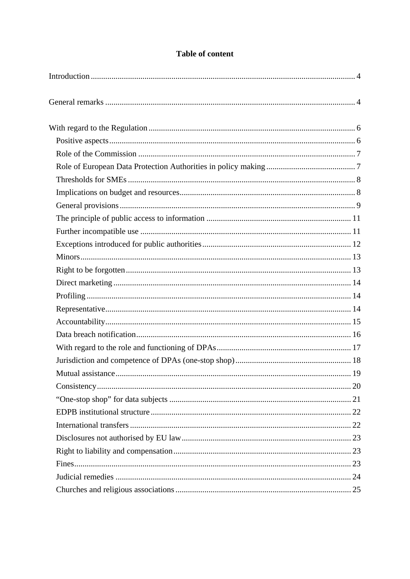## **Table of content**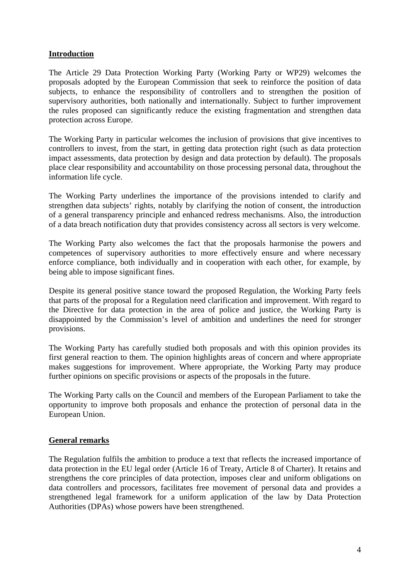## <span id="page-3-0"></span>**Introduction**

The Article 29 Data Protection Working Party (Working Party or WP29) welcomes the proposals adopted by the European Commission that seek to reinforce the position of data subjects, to enhance the responsibility of controllers and to strengthen the position of supervisory authorities, both nationally and internationally. Subject to further improvement the rules proposed can significantly reduce the existing fragmentation and strengthen data protection across Europe.

The Working Party in particular welcomes the inclusion of provisions that give incentives to controllers to invest, from the start, in getting data protection right (such as data protection impact assessments, data protection by design and data protection by default). The proposals place clear responsibility and accountability on those processing personal data, throughout the information life cycle.

The Working Party underlines the importance of the provisions intended to clarify and strengthen data subjects' rights, notably by clarifying the notion of consent, the introduction of a general transparency principle and enhanced redress mechanisms. Also, the introduction of a data breach notification duty that provides consistency across all sectors is very welcome.

The Working Party also welcomes the fact that the proposals harmonise the powers and competences of supervisory authorities to more effectively ensure and where necessary enforce compliance, both individually and in cooperation with each other, for example, by being able to impose significant fines.

Despite its general positive stance toward the proposed Regulation, the Working Party feels that parts of the proposal for a Regulation need clarification and improvement. With regard to the Directive for data protection in the area of police and justice, the Working Party is disappointed by the Commission's level of ambition and underlines the need for stronger provisions.

The Working Party has carefully studied both proposals and with this opinion provides its first general reaction to them. The opinion highlights areas of concern and where appropriate makes suggestions for improvement. Where appropriate, the Working Party may produce further opinions on specific provisions or aspects of the proposals in the future.

The Working Party calls on the Council and members of the European Parliament to take the opportunity to improve both proposals and enhance the protection of personal data in the European Union.

#### <span id="page-3-1"></span>**General remarks**

The Regulation fulfils the ambition to produce a text that reflects the increased importance of data protection in the EU legal order (Article 16 of Treaty, Article 8 of Charter). It retains and strengthens the core principles of data protection, imposes clear and uniform obligations on data controllers and processors, facilitates free movement of personal data and provides a strengthened legal framework for a uniform application of the law by Data Protection Authorities (DPAs) whose powers have been strengthened.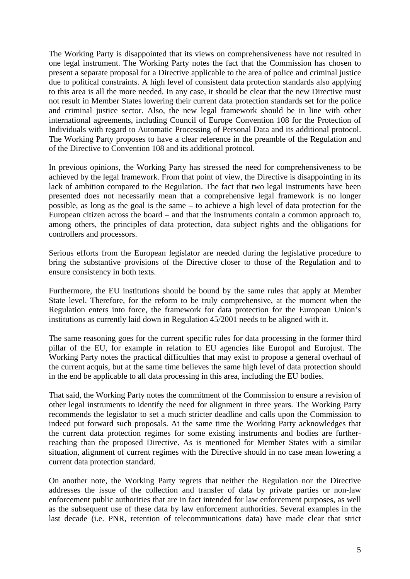The Working Party is disappointed that its views on comprehensiveness have not resulted in one legal instrument. The Working Party notes the fact that the Commission has chosen to present a separate proposal for a Directive applicable to the area of police and criminal justice due to political constraints. A high level of consistent data protection standards also applying to this area is all the more needed. In any case, it should be clear that the new Directive must not result in Member States lowering their current data protection standards set for the police and criminal justice sector. Also, the new legal framework should be in line with other international agreements, including Council of Europe Convention 108 for the Protection of Individuals with regard to Automatic Processing of Personal Data and its additional protocol. The Working Party proposes to have a clear reference in the preamble of the Regulation and of the Directive to Convention 108 and its additional protocol.

In previous opinions, the Working Party has stressed the need for comprehensiveness to be achieved by the legal framework. From that point of view, the Directive is disappointing in its lack of ambition compared to the Regulation. The fact that two legal instruments have been presented does not necessarily mean that a comprehensive legal framework is no longer possible, as long as the goal is the same – to achieve a high level of data protection for the European citizen across the board – and that the instruments contain a common approach to, among others, the principles of data protection, data subject rights and the obligations for controllers and processors.

Serious efforts from the European legislator are needed during the legislative procedure to bring the substantive provisions of the Directive closer to those of the Regulation and to ensure consistency in both texts.

Furthermore, the EU institutions should be bound by the same rules that apply at Member State level. Therefore, for the reform to be truly comprehensive, at the moment when the Regulation enters into force, the framework for data protection for the European Union's institutions as currently laid down in Regulation 45/2001 needs to be aligned with it.

The same reasoning goes for the current specific rules for data processing in the former third pillar of the EU, for example in relation to EU agencies like Europol and Eurojust. The Working Party notes the practical difficulties that may exist to propose a general overhaul of the current acquis, but at the same time believes the same high level of data protection should in the end be applicable to all data processing in this area, including the EU bodies.

That said, the Working Party notes the commitment of the Commission to ensure a revision of other legal instruments to identify the need for alignment in three years. The Working Party recommends the legislator to set a much stricter deadline and calls upon the Commission to indeed put forward such proposals. At the same time the Working Party acknowledges that the current data protection regimes for some existing instruments and bodies are furtherreaching than the proposed Directive. As is mentioned for Member States with a similar situation, alignment of current regimes with the Directive should in no case mean lowering a current data protection standard.

On another note, the Working Party regrets that neither the Regulation nor the Directive addresses the issue of the collection and transfer of data by private parties or non-law enforcement public authorities that are in fact intended for law enforcement purposes, as well as the subsequent use of these data by law enforcement authorities. Several examples in the last decade (i.e. PNR, retention of telecommunications data) have made clear that strict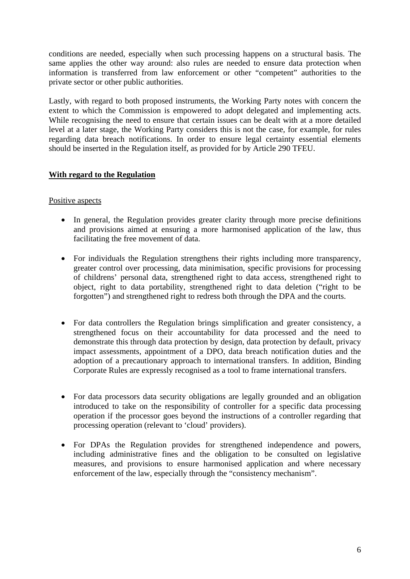conditions are needed, especially when such processing happens on a structural basis. The same applies the other way around: also rules are needed to ensure data protection when information is transferred from law enforcement or other "competent" authorities to the private sector or other public authorities.

Lastly, with regard to both proposed instruments, the Working Party notes with concern the extent to which the Commission is empowered to adopt delegated and implementing acts. While recognising the need to ensure that certain issues can be dealt with at a more detailed level at a later stage, the Working Party considers this is not the case, for example, for rules regarding data breach notifications. In order to ensure legal certainty essential elements should be inserted in the Regulation itself, as provided for by Article 290 TFEU.

## <span id="page-5-0"></span>**With regard to the Regulation**

#### <span id="page-5-1"></span>Positive aspects

- In general, the Regulation provides greater clarity through more precise definitions and provisions aimed at ensuring a more harmonised application of the law, thus facilitating the free movement of data.
- For individuals the Regulation strengthens their rights including more transparency, greater control over processing, data minimisation, specific provisions for processing of childrens' personal data, strengthened right to data access, strengthened right to object, right to data portability, strengthened right to data deletion ("right to be forgotten") and strengthened right to redress both through the DPA and the courts.
- For data controllers the Regulation brings simplification and greater consistency, a strengthened focus on their accountability for data processed and the need to demonstrate this through data protection by design, data protection by default, privacy impact assessments, appointment of a DPO, data breach notification duties and the adoption of a precautionary approach to international transfers. In addition, Binding Corporate Rules are expressly recognised as a tool to frame international transfers.
- For data processors data security obligations are legally grounded and an obligation introduced to take on the responsibility of controller for a specific data processing operation if the processor goes beyond the instructions of a controller regarding that processing operation (relevant to 'cloud' providers).
- For DPAs the Regulation provides for strengthened independence and powers, including administrative fines and the obligation to be consulted on legislative measures, and provisions to ensure harmonised application and where necessary enforcement of the law, especially through the "consistency mechanism".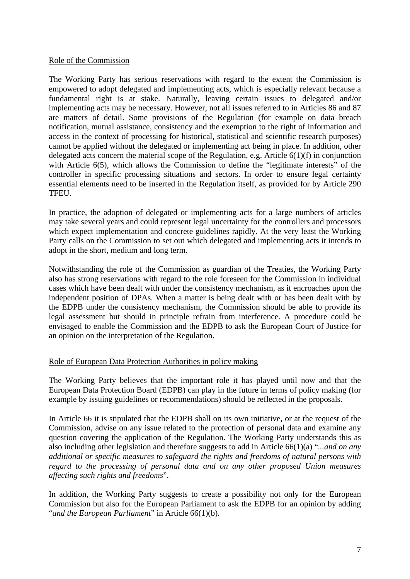#### Role of the Commission

The Working Party has serious reservations with regard to the extent the Commission is empowered to adopt delegated and implementing acts, which is especially relevant because a fundamental right is at stake. Naturally, leaving certain issues to delegated and/or implementing acts may be necessary. However, not all issues referred to in Articles 86 and 87 are matters of detail. Some provisions of the Regulation (for example on data breach notification, mutual assistance, consistency and the exemption to the right of information and access in the context of processing for historical, statistical and scientific research purposes) cannot be applied without the delegated or implementing act being in place. In addition, other delegated acts concern the material scope of the Regulation, e.g. Article 6(1)(f) in conjunction with Article 6(5), which allows the Commission to define the "legitimate interests" of the controller in specific processing situations and sectors. In order to ensure legal certainty essential elements need to be inserted in the Regulation itself, as provided for by Article 290 **TFEU** 

In practice, the adoption of delegated or implementing acts for a large numbers of articles may take several years and could represent legal uncertainty for the controllers and processors which expect implementation and concrete guidelines rapidly. At the very least the Working Party calls on the Commission to set out which delegated and implementing acts it intends to adopt in the short, medium and long term.

Notwithstanding the role of the Commission as guardian of the Treaties, the Working Party also has strong reservations with regard to the role foreseen for the Commission in individual cases which have been dealt with under the consistency mechanism, as it encroaches upon the independent position of DPAs. When a matter is being dealt with or has been dealt with by the EDPB under the consistency mechanism, the Commission should be able to provide its legal assessment but should in principle refrain from interference. A procedure could be envisaged to enable the Commission and the EDPB to ask the European Court of Justice for an opinion on the interpretation of the Regulation.

## <span id="page-6-1"></span>Role of European Data Protection Authorities in policy making

The Working Party believes that the important role it has played until now and that the European Data Protection Board (EDPB) can play in the future in terms of policy making (for example by issuing guidelines or recommendations) should be reflected in the proposals.

In Article 66 it is stipulated that the EDPB shall on its own initiative, or at the request of the Commission, advise on any issue related to the protection of personal data and examine any question covering the application of the Regulation. The Working Party understands this as also including other legislation and therefore suggests to add in Article 66(1)(a) "*...and on any additional or specific measures to safeguard the rights and freedoms of natural persons with regard to the processing of personal data and on any other proposed Union measures affecting such rights and freedoms*".

<span id="page-6-0"></span>In addition, the Working Party suggests to create a possibility not only for the European Commission but also for the European Parliament to ask the EDPB for an opinion by adding "*and the European Parliament*" in Article 66(1)(b).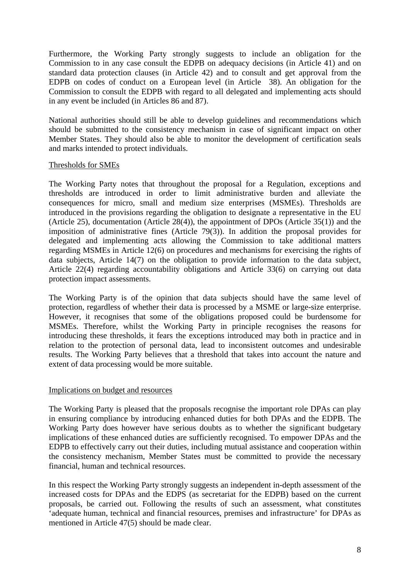Furthermore, the Working Party strongly suggests to include an obligation for the Commission to in any case consult the EDPB on adequacy decisions (in Article 41) and on standard data protection clauses (in Article 42) and to consult and get approval from the EDPB on codes of conduct on a European level (in Article 38). An obligation for the Commission to consult the EDPB with regard to all delegated and implementing acts should in any event be included (in Articles 86 and 87).

National authorities should still be able to develop guidelines and recommendations which should be submitted to the consistency mechanism in case of significant impact on other Member States. They should also be able to monitor the development of certification seals and marks intended to protect individuals.

### <span id="page-7-0"></span>Thresholds for SMEs

The Working Party notes that throughout the proposal for a Regulation, exceptions and thresholds are introduced in order to limit administrative burden and alleviate the consequences for micro, small and medium size enterprises (MSMEs). Thresholds are introduced in the provisions regarding the obligation to designate a representative in the EU (Article 25), documentation (Article 28(4)), the appointment of DPOs (Article 35(1)) and the imposition of administrative fines (Article 79(3)). In addition the proposal provides for delegated and implementing acts allowing the Commission to take additional matters regarding MSMEs in Article 12(6) on procedures and mechanisms for exercising the rights of data subjects, Article 14(7) on the obligation to provide information to the data subject, Article 22(4) regarding accountability obligations and Article 33(6) on carrying out data protection impact assessments.

The Working Party is of the opinion that data subjects should have the same level of protection, regardless of whether their data is processed by a MSME or large-size enterprise. However, it recognises that some of the obligations proposed could be burdensome for MSMEs. Therefore, whilst the Working Party in principle recognises the reasons for introducing these thresholds, it fears the exceptions introduced may both in practice and in relation to the protection of personal data, lead to inconsistent outcomes and undesirable results. The Working Party believes that a threshold that takes into account the nature and extent of data processing would be more suitable.

#### <span id="page-7-1"></span>Implications on budget and resources

The Working Party is pleased that the proposals recognise the important role DPAs can play in ensuring compliance by introducing enhanced duties for both DPAs and the EDPB. The Working Party does however have serious doubts as to whether the significant budgetary implications of these enhanced duties are sufficiently recognised. To empower DPAs and the EDPB to effectively carry out their duties, including mutual assistance and cooperation within the consistency mechanism, Member States must be committed to provide the necessary financial, human and technical resources.

In this respect the Working Party strongly suggests an independent in-depth assessment of the increased costs for DPAs and the EDPS (as secretariat for the EDPB) based on the current proposals, be carried out. Following the results of such an assessment, what constitutes 'adequate human, technical and financial resources, premises and infrastructure' for DPAs as mentioned in Article 47(5) should be made clear.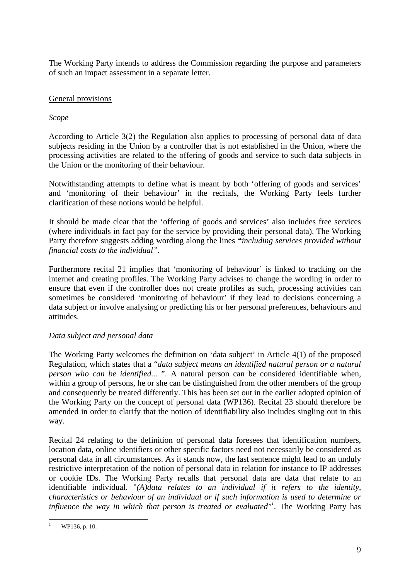The Working Party intends to address the Commission regarding the purpose and parameters of such an impact assessment in a separate letter.

## <span id="page-8-0"></span>General provisions

### *Scope*

According to Article 3(2) the Regulation also applies to processing of personal data of data subjects residing in the Union by a controller that is not established in the Union, where the processing activities are related to the offering of goods and service to such data subjects in the Union or the monitoring of their behaviour.

Notwithstanding attempts to define what is meant by both 'offering of goods and services' and 'monitoring of their behaviour' in the recitals, the Working Party feels further clarification of these notions would be helpful.

It should be made clear that the 'offering of goods and services' also includes free services (where individuals in fact pay for the service by providing their personal data). The Working Party therefore suggests adding wording along the lines *"including services provided without financial costs to the individual".*

Furthermore recital 21 implies that 'monitoring of behaviour' is linked to tracking on the internet and creating profiles. The Working Party advises to change the wording in order to ensure that even if the controller does not create profiles as such, processing activities can sometimes be considered 'monitoring of behaviour' if they lead to decisions concerning a data subject or involve analysing or predicting his or her personal preferences, behaviours and attitudes.

## *Data subject and personal data*

The Working Party welcomes the definition on 'data subject' in Article 4(1) of the proposed Regulation, which states that a "*data subject means an identified natural person or a natural person who can be identified...* ". A natural person can be considered identifiable when, within a group of persons, he or she can be distinguished from the other members of the group and consequently be treated differently. This has been set out in the earlier adopted opinion of the Working Party on the concept of personal data (WP136). Recital 23 should therefore be amended in order to clarify that the notion of identifiability also includes singling out in this way.

Recital 24 relating to the definition of personal data foresees that identification numbers, location data, online identifiers or other specific factors need not necessarily be considered as personal data in all circumstances. As it stands now, the last sentence might lead to an unduly restrictive interpretation of the notion of personal data in relation for instance to IP addresses or cookie IDs. The Working Party recalls that personal data are data that relate to an identifiable individual. "*(A)data relates to an individual if it refers to the identity, characteristics or behaviour of an individual or if such information is used to determine or*  influence the way in which that person is treated or evaluated<sup>"*l*</sup>. The Working Party has

<sup>1</sup> 1 WP136, p. 10.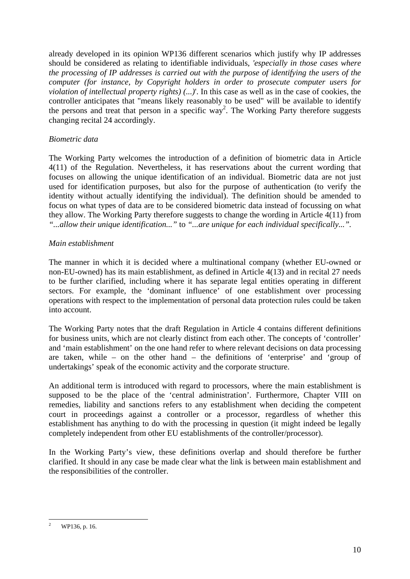already developed in its opinion WP136 different scenarios which justify why IP addresses should be considered as relating to identifiable individuals, *'especially in those cases where the processing of IP addresses is carried out with the purpose of identifying the users of the computer (for instance, by Copyright holders in order to prosecute computer users for violation of intellectual property rights) (...)*'. In this case as well as in the case of cookies, the controller anticipates that "means likely reasonably to be used" will be available to identify the persons and treat that person in a specific way<sup>2</sup>. The Working Party therefore suggests changing recital 24 accordingly.

## *Biometric data*

The Working Party welcomes the introduction of a definition of biometric data in Article 4(11) of the Regulation. Nevertheless, it has reservations about the current wording that focuses on allowing the unique identification of an individual. Biometric data are not just used for identification purposes, but also for the purpose of authentication (to verify the identity without actually identifying the individual). The definition should be amended to focus on what types of data are to be considered biometric data instead of focussing on what they allow. The Working Party therefore suggests to change the wording in Article 4(11) from *"...allow their unique identification..."* to *"...are unique for each individual specifically...".*

## *Main establishment*

The manner in which it is decided where a multinational company (whether EU-owned or non-EU-owned) has its main establishment, as defined in Article 4(13) and in recital 27 needs to be further clarified, including where it has separate legal entities operating in different sectors. For example, the 'dominant influence' of one establishment over processing operations with respect to the implementation of personal data protection rules could be taken into account.

The Working Party notes that the draft Regulation in Article 4 contains different definitions for business units, which are not clearly distinct from each other. The concepts of 'controller' and 'main establishment' on the one hand refer to where relevant decisions on data processing are taken, while – on the other hand – the definitions of 'enterprise' and 'group of undertakings' speak of the economic activity and the corporate structure.

An additional term is introduced with regard to processors, where the main establishment is supposed to be the place of the 'central administration'. Furthermore, Chapter VIII on remedies, liability and sanctions refers to any establishment when deciding the competent court in proceedings against a controller or a processor, regardless of whether this establishment has anything to do with the processing in question (it might indeed be legally completely independent from other EU establishments of the controller/processor).

In the Working Party's view, these definitions overlap and should therefore be further clarified. It should in any case be made clear what the link is between main establishment and the responsibilities of the controller.

<sup>1</sup> 2 WP136, p. 16.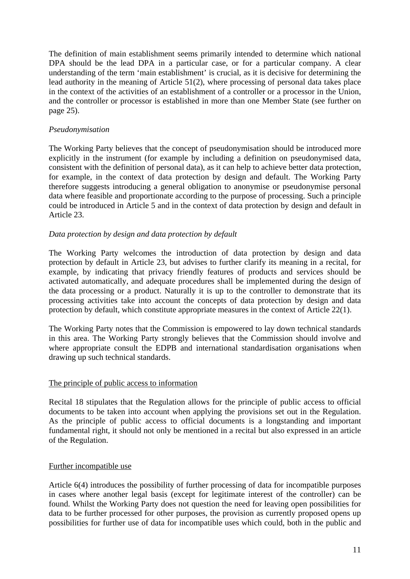The definition of main establishment seems primarily intended to determine which national DPA should be the lead DPA in a particular case, or for a particular company. A clear understanding of the term 'main establishment' is crucial, as it is decisive for determining the lead authority in the meaning of Article 51(2), where processing of personal data takes place in the context of the activities of an establishment of a controller or a processor in the Union, and the controller or processor is established in more than one Member State (see further on page 25).

## *Pseudonymisation*

The Working Party believes that the concept of pseudonymisation should be introduced more explicitly in the instrument (for example by including a definition on pseudonymised data, consistent with the definition of personal data), as it can help to achieve better data protection, for example, in the context of data protection by design and default. The Working Party therefore suggests introducing a general obligation to anonymise or pseudonymise personal data where feasible and proportionate according to the purpose of processing. Such a principle could be introduced in Article 5 and in the context of data protection by design and default in Article 23.

## *Data protection by design and data protection by default*

The Working Party welcomes the introduction of data protection by design and data protection by default in Article 23, but advises to further clarify its meaning in a recital, for example, by indicating that privacy friendly features of products and services should be activated automatically, and adequate procedures shall be implemented during the design of the data processing or a product. Naturally it is up to the controller to demonstrate that its processing activities take into account the concepts of data protection by design and data protection by default, which constitute appropriate measures in the context of Article 22(1).

The Working Party notes that the Commission is empowered to lay down technical standards in this area. The Working Party strongly believes that the Commission should involve and where appropriate consult the EDPB and international standardisation organisations when drawing up such technical standards.

## <span id="page-10-0"></span>The principle of public access to information

Recital 18 stipulates that the Regulation allows for the principle of public access to official documents to be taken into account when applying the provisions set out in the Regulation. As the principle of public access to official documents is a longstanding and important fundamental right, it should not only be mentioned in a recital but also expressed in an article of the Regulation.

## <span id="page-10-1"></span>Further incompatible use

Article 6(4) introduces the possibility of further processing of data for incompatible purposes in cases where another legal basis (except for legitimate interest of the controller) can be found. Whilst the Working Party does not question the need for leaving open possibilities for data to be further processed for other purposes, the provision as currently proposed opens up possibilities for further use of data for incompatible uses which could, both in the public and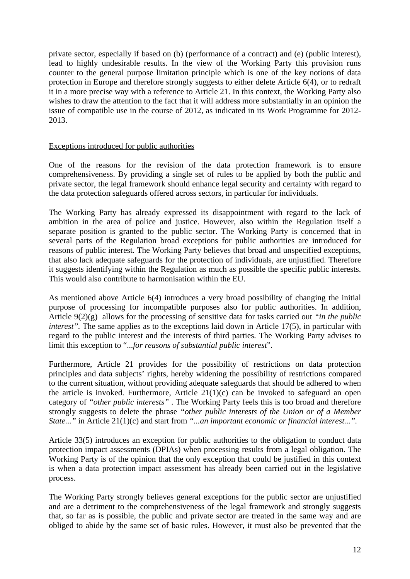private sector, especially if based on (b) (performance of a contract) and (e) (public interest), lead to highly undesirable results. In the view of the Working Party this provision runs counter to the general purpose limitation principle which is one of the key notions of data protection in Europe and therefore strongly suggests to either delete Article 6(4), or to redraft it in a more precise way with a reference to Article 21. In this context, the Working Party also wishes to draw the attention to the fact that it will address more substantially in an opinion the issue of compatible use in the course of 2012, as indicated in its Work Programme for 2012- 2013.

### <span id="page-11-0"></span>Exceptions introduced for public authorities

One of the reasons for the revision of the data protection framework is to ensure comprehensiveness. By providing a single set of rules to be applied by both the public and private sector, the legal framework should enhance legal security and certainty with regard to the data protection safeguards offered across sectors, in particular for individuals.

The Working Party has already expressed its disappointment with regard to the lack of ambition in the area of police and justice. However, also within the Regulation itself a separate position is granted to the public sector. The Working Party is concerned that in several parts of the Regulation broad exceptions for public authorities are introduced for reasons of public interest. The Working Party believes that broad and unspecified exceptions, that also lack adequate safeguards for the protection of individuals, are unjustified. Therefore it suggests identifying within the Regulation as much as possible the specific public interests. This would also contribute to harmonisation within the EU.

As mentioned above Article 6(4) introduces a very broad possibility of changing the initial purpose of processing for incompatible purposes also for public authorities. In addition, Article 9(2)(g) allows for the processing of sensitive data for tasks carried out *"in the public interest*". The same applies as to the exceptions laid down in Article 17(5), in particular with regard to the public interest and the interests of third parties*.* The Working Party advises to limit this exception to "...*for reasons of substantial public interest*".

Furthermore, Article 21 provides for the possibility of restrictions on data protection principles and data subjects' rights, hereby widening the possibility of restrictions compared to the current situation, without providing adequate safeguards that should be adhered to when the article is invoked. Furthermore, Article 21(1)(c) can be invoked to safeguard an open category of *"other public interests"* . The Working Party feels this is too broad and therefore strongly suggests to delete the phrase *"other public interests of the Union or of a Member State..."* in Article 21(1)(c) and start from *"...an important economic or financial interest...".* 

Article 33(5) introduces an exception for public authorities to the obligation to conduct data protection impact assessments (DPIAs) when processing results from a legal obligation. The Working Party is of the opinion that the only exception that could be justified in this context is when a data protection impact assessment has already been carried out in the legislative process.

The Working Party strongly believes general exceptions for the public sector are unjustified and are a detriment to the comprehensiveness of the legal framework and strongly suggests that, so far as is possible, the public and private sector are treated in the same way and are obliged to abide by the same set of basic rules. However, it must also be prevented that the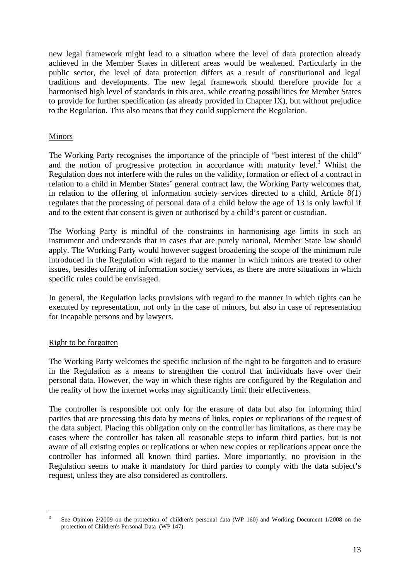new legal framework might lead to a situation where the level of data protection already achieved in the Member States in different areas would be weakened. Particularly in the public sector, the level of data protection differs as a result of constitutional and legal traditions and developments. The new legal framework should therefore provide for a harmonised high level of standards in this area, while creating possibilities for Member States to provide for further specification (as already provided in Chapter IX), but without prejudice to the Regulation. This also means that they could supplement the Regulation.

## <span id="page-12-0"></span>Minors

The Working Party recognises the importance of the principle of "best interest of the child" and the notion of progressive protection in accordance with maturity level.<sup>3</sup> Whilst the Regulation does not interfere with the rules on the validity, formation or effect of a contract in relation to a child in Member States' general contract law, the Working Party welcomes that, in relation to the offering of information society services directed to a child, Article 8(1) regulates that the processing of personal data of a child below the age of 13 is only lawful if and to the extent that consent is given or authorised by a child's parent or custodian.

The Working Party is mindful of the constraints in harmonising age limits in such an instrument and understands that in cases that are purely national, Member State law should apply. The Working Party would however suggest broadening the scope of the minimum rule introduced in the Regulation with regard to the manner in which minors are treated to other issues, besides offering of information society services, as there are more situations in which specific rules could be envisaged.

In general, the Regulation lacks provisions with regard to the manner in which rights can be executed by representation, not only in the case of minors, but also in case of representation for incapable persons and by lawyers.

## <span id="page-12-1"></span>Right to be forgotten

The Working Party welcomes the specific inclusion of the right to be forgotten and to erasure in the Regulation as a means to strengthen the control that individuals have over their personal data. However, the way in which these rights are configured by the Regulation and the reality of how the internet works may significantly limit their effectiveness.

The controller is responsible not only for the erasure of data but also for informing third parties that are processing this data by means of links, copies or replications of the request of the data subject. Placing this obligation only on the controller has limitations, as there may be cases where the controller has taken all reasonable steps to inform third parties, but is not aware of all existing copies or replications or when new copies or replications appear once the controller has informed all known third parties. More importantly, no provision in the Regulation seems to make it mandatory for third parties to comply with the data subject's request, unless they are also considered as controllers.

<sup>1</sup> 3 See Opinio[n 2/2009 on the protection of children's personal data](http://ec.europa.eu/justice/policies/privacy/docs/wpdocs/2009/wp160_en.pdf) (WP 160) and [Working Document 1/2008 on the](http://ec.europa.eu/justice/policies/privacy/docs/wpdocs/2008/wp147_en.pdf)  [protection of Children's Personal Data](http://ec.europa.eu/justice/policies/privacy/docs/wpdocs/2008/wp147_en.pdf) (WP 147)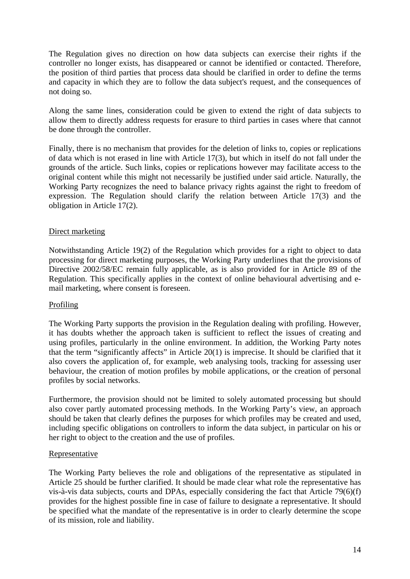The Regulation gives no direction on how data subjects can exercise their rights if the controller no longer exists, has disappeared or cannot be identified or contacted. Therefore, the position of third parties that process data should be clarified in order to define the terms and capacity in which they are to follow the data subject's request, and the consequences of not doing so.

Along the same lines, consideration could be given to extend the right of data subjects to allow them to directly address requests for erasure to third parties in cases where that cannot be done through the controller.

Finally, there is no mechanism that provides for the deletion of links to, copies or replications of data which is not erased in line with Article 17(3), but which in itself do not fall under the grounds of the article. Such links, copies or replications however may facilitate access to the original content while this might not necessarily be justified under said article. Naturally, the Working Party recognizes the need to balance privacy rights against the right to freedom of expression. The Regulation should clarify the relation between Article 17(3) and the obligation in Article 17(2).

## <span id="page-13-0"></span>Direct marketing

Notwithstanding Article 19(2) of the Regulation which provides for a right to object to data processing for direct marketing purposes, the Working Party underlines that the provisions of Directive 2002/58/EC remain fully applicable, as is also provided for in Article 89 of the Regulation. This specifically applies in the context of online behavioural advertising and email marketing, where consent is foreseen.

#### <span id="page-13-1"></span>Profiling

The Working Party supports the provision in the Regulation dealing with profiling. However, it has doubts whether the approach taken is sufficient to reflect the issues of creating and using profiles, particularly in the online environment. In addition, the Working Party notes that the term "significantly affects" in Article 20(1) is imprecise. It should be clarified that it also covers the application of, for example, web analysing tools, tracking for assessing user behaviour, the creation of motion profiles by mobile applications, or the creation of personal profiles by social networks.

Furthermore, the provision should not be limited to solely automated processing but should also cover partly automated processing methods. In the Working Party's view, an approach should be taken that clearly defines the purposes for which profiles may be created and used, including specific obligations on controllers to inform the data subject, in particular on his or her right to object to the creation and the use of profiles.

#### <span id="page-13-2"></span>Representative

The Working Party believes the role and obligations of the representative as stipulated in Article 25 should be further clarified. It should be made clear what role the representative has vis-à-vis data subjects, courts and DPAs, especially considering the fact that Article 79(6)(f) provides for the highest possible fine in case of failure to designate a representative. It should be specified what the mandate of the representative is in order to clearly determine the scope of its mission, role and liability.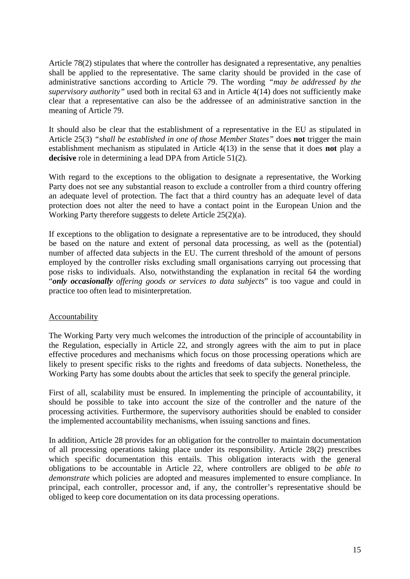Article 78(2) stipulates that where the controller has designated a representative, any penalties shall be applied to the representative. The same clarity should be provided in the case of administrative sanctions according to Article 79. The wording *"may be addressed by the supervisory authority"* used both in recital 63 and in Article 4(14) does not sufficiently make clear that a representative can also be the addressee of an administrative sanction in the meaning of Article 79.

It should also be clear that the establishment of a representative in the EU as stipulated in Article 25(3) *"shall be established in one of those Member States"* does **not** trigger the main establishment mechanism as stipulated in Article 4(13) in the sense that it does **not** play a **decisive** role in determining a lead DPA from Article 51(2).

With regard to the exceptions to the obligation to designate a representative, the Working Party does not see any substantial reason to exclude a controller from a third country offering an adequate level of protection. The fact that a third country has an adequate level of data protection does not alter the need to have a contact point in the European Union and the Working Party therefore suggests to delete Article 25(2)(a).

If exceptions to the obligation to designate a representative are to be introduced, they should be based on the nature and extent of personal data processing, as well as the (potential) number of affected data subjects in the EU. The current threshold of the amount of persons employed by the controller risks excluding small organisations carrying out processing that pose risks to individuals. Also, notwithstanding the explanation in recital 64 the wording "*only occasionally offering goods or services to data subjects*" is too vague and could in practice too often lead to misinterpretation.

## <span id="page-14-0"></span>**Accountability**

The Working Party very much welcomes the introduction of the principle of accountability in the Regulation, especially in Article 22, and strongly agrees with the aim to put in place effective procedures and mechanisms which focus on those processing operations which are likely to present specific risks to the rights and freedoms of data subjects. Nonetheless, the Working Party has some doubts about the articles that seek to specify the general principle.

First of all, scalability must be ensured. In implementing the principle of accountability, it should be possible to take into account the size of the controller and the nature of the processing activities. Furthermore, the supervisory authorities should be enabled to consider the implemented accountability mechanisms, when issuing sanctions and fines.

In addition, Article 28 provides for an obligation for the controller to maintain documentation of all processing operations taking place under its responsibility. Article 28(2) prescribes which specific documentation this entails. This obligation interacts with the general obligations to be accountable in Article 22, where controllers are obliged to *be able to demonstrate* which policies are adopted and measures implemented to ensure compliance. In principal, each controller, processor and, if any, the controller's representative should be obliged to keep core documentation on its data processing operations.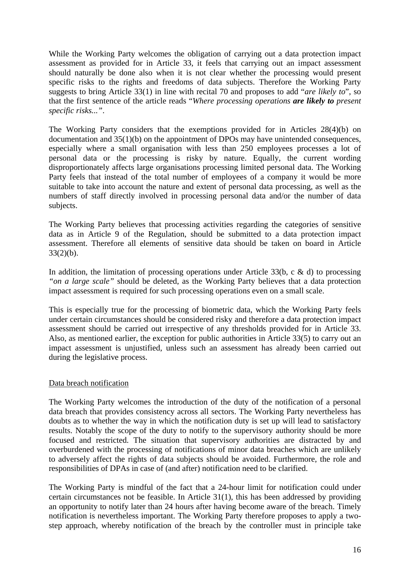While the Working Party welcomes the obligation of carrying out a data protection impact assessment as provided for in Article 33, it feels that carrying out an impact assessment should naturally be done also when it is not clear whether the processing would present specific risks to the rights and freedoms of data subjects. Therefore the Working Party suggests to bring Article 33(1) in line with recital 70 and proposes to add "*are likely to*", so that the first sentence of the article reads "*Where processing operations are likely to present specific risks..."*.

The Working Party considers that the exemptions provided for in Articles 28(4)(b) on documentation and 35(1)(b) on the appointment of DPOs may have unintended consequences, especially where a small organisation with less than 250 employees processes a lot of personal data or the processing is risky by nature. Equally, the current wording disproportionately affects large organisations processing limited personal data. The Working Party feels that instead of the total number of employees of a company it would be more suitable to take into account the nature and extent of personal data processing, as well as the numbers of staff directly involved in processing personal data and/or the number of data subjects.

The Working Party believes that processing activities regarding the categories of sensitive data as in Article 9 of the Regulation, should be submitted to a data protection impact assessment. Therefore all elements of sensitive data should be taken on board in Article 33(2)(b).

In addition, the limitation of processing operations under Article 33(b, c  $\&$  d) to processing *"on a large scale"* should be deleted, as the Working Party believes that a data protection impact assessment is required for such processing operations even on a small scale.

This is especially true for the processing of biometric data, which the Working Party feels under certain circumstances should be considered risky and therefore a data protection impact assessment should be carried out irrespective of any thresholds provided for in Article 33. Also, as mentioned earlier, the exception for public authorities in Article 33(5) to carry out an impact assessment is unjustified, unless such an assessment has already been carried out during the legislative process.

## <span id="page-15-0"></span>Data breach notification

The Working Party welcomes the introduction of the duty of the notification of a personal data breach that provides consistency across all sectors. The Working Party nevertheless has doubts as to whether the way in which the notification duty is set up will lead to satisfactory results. Notably the scope of the duty to notify to the supervisory authority should be more focused and restricted. The situation that supervisory authorities are distracted by and overburdened with the processing of notifications of minor data breaches which are unlikely to adversely affect the rights of data subjects should be avoided. Furthermore, the role and responsibilities of DPAs in case of (and after) notification need to be clarified.

The Working Party is mindful of the fact that a 24-hour limit for notification could under certain circumstances not be feasible. In Article 31(1), this has been addressed by providing an opportunity to notify later than 24 hours after having become aware of the breach. Timely notification is nevertheless important. The Working Party therefore proposes to apply a twostep approach, whereby notification of the breach by the controller must in principle take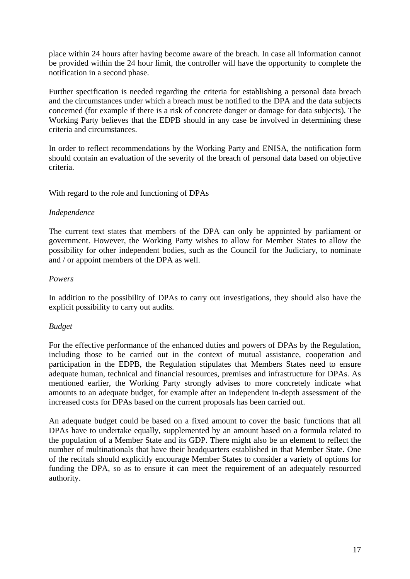place within 24 hours after having become aware of the breach. In case all information cannot be provided within the 24 hour limit, the controller will have the opportunity to complete the notification in a second phase.

Further specification is needed regarding the criteria for establishing a personal data breach and the circumstances under which a breach must be notified to the DPA and the data subjects concerned (for example if there is a risk of concrete danger or damage for data subjects). The Working Party believes that the EDPB should in any case be involved in determining these criteria and circumstances.

In order to reflect recommendations by the Working Party and ENISA, the notification form should contain an evaluation of the severity of the breach of personal data based on objective criteria.

### <span id="page-16-0"></span>With regard to the role and functioning of DPAs

#### *Independence*

The current text states that members of the DPA can only be appointed by parliament or government. However, the Working Party wishes to allow for Member States to allow the possibility for other independent bodies, such as the Council for the Judiciary, to nominate and / or appoint members of the DPA as well.

### *Powers*

In addition to the possibility of DPAs to carry out investigations, they should also have the explicit possibility to carry out audits.

## *Budget*

For the effective performance of the enhanced duties and powers of DPAs by the Regulation, including those to be carried out in the context of mutual assistance, cooperation and participation in the EDPB, the Regulation stipulates that Members States need to ensure adequate human, technical and financial resources, premises and infrastructure for DPAs. As mentioned earlier, the Working Party strongly advises to more concretely indicate what amounts to an adequate budget, for example after an independent in-depth assessment of the increased costs for DPAs based on the current proposals has been carried out.

An adequate budget could be based on a fixed amount to cover the basic functions that all DPAs have to undertake equally, supplemented by an amount based on a formula related to the population of a Member State and its GDP. There might also be an element to reflect the number of multinationals that have their headquarters established in that Member State. One of the recitals should explicitly encourage Member States to consider a variety of options for funding the DPA, so as to ensure it can meet the requirement of an adequately resourced authority.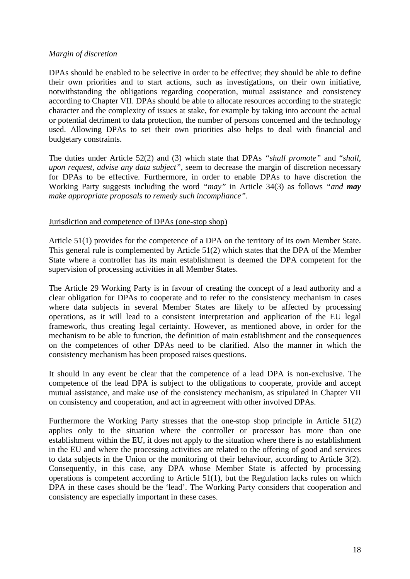#### *Margin of discretion*

DPAs should be enabled to be selective in order to be effective; they should be able to define their own priorities and to start actions, such as investigations, on their own initiative, notwithstanding the obligations regarding cooperation, mutual assistance and consistency according to Chapter VII. DPAs should be able to allocate resources according to the strategic character and the complexity of issues at stake, for example by taking into account the actual or potential detriment to data protection, the number of persons concerned and the technology used. Allowing DPAs to set their own priorities also helps to deal with financial and budgetary constraints.

The duties under Article 52(2) and (3) which state that DPAs *"shall promote"* and "*shall, upon request, advise any data subject",* seem to decrease the margin of discretion necessary for DPAs to be effective. Furthermore, in order to enable DPAs to have discretion the Working Party suggests including the word *"may"* in Article 34(3) as follows *"and may make appropriate proposals to remedy such incompliance"*.

### <span id="page-17-0"></span>Jurisdiction and competence of DPAs (one-stop shop)

Article 51(1) provides for the competence of a DPA on the territory of its own Member State. This general rule is complemented by Article 51(2) which states that the DPA of the Member State where a controller has its main establishment is deemed the DPA competent for the supervision of processing activities in all Member States.

The Article 29 Working Party is in favour of creating the concept of a lead authority and a clear obligation for DPAs to cooperate and to refer to the consistency mechanism in cases where data subjects in several Member States are likely to be affected by processing operations, as it will lead to a consistent interpretation and application of the EU legal framework, thus creating legal certainty. However, as mentioned above, in order for the mechanism to be able to function, the definition of main establishment and the consequences on the competences of other DPAs need to be clarified. Also the manner in which the consistency mechanism has been proposed raises questions.

It should in any event be clear that the competence of a lead DPA is non-exclusive. The competence of the lead DPA is subject to the obligations to cooperate, provide and accept mutual assistance, and make use of the consistency mechanism, as stipulated in Chapter VII on consistency and cooperation, and act in agreement with other involved DPAs.

Furthermore the Working Party stresses that the one-stop shop principle in Article 51(2) applies only to the situation where the controller or processor has more than one establishment within the EU, it does not apply to the situation where there is no establishment in the EU and where the processing activities are related to the offering of good and services to data subjects in the Union or the monitoring of their behaviour, according to Article 3(2). Consequently, in this case, any DPA whose Member State is affected by processing operations is competent according to Article 51(1), but the Regulation lacks rules on which DPA in these cases should be the 'lead'. The Working Party considers that cooperation and consistency are especially important in these cases.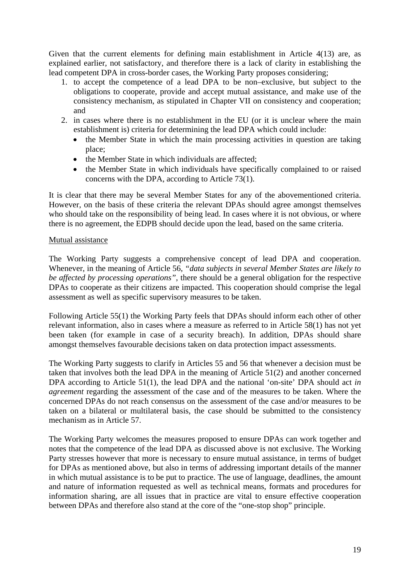Given that the current elements for defining main establishment in Article 4(13) are, as explained earlier, not satisfactory, and therefore there is a lack of clarity in establishing the lead competent DPA in cross-border cases, the Working Party proposes considering;

- 1. to accept the competence of a lead DPA to be non–exclusive, but subject to the obligations to cooperate, provide and accept mutual assistance, and make use of the consistency mechanism, as stipulated in Chapter VII on consistency and cooperation; and
- 2. in cases where there is no establishment in the EU (or it is unclear where the main establishment is) criteria for determining the lead DPA which could include:
	- the Member State in which the main processing activities in question are taking place;
	- the Member State in which individuals are affected;
	- the Member State in which individuals have specifically complained to or raised concerns with the DPA, according to Article 73(1).

It is clear that there may be several Member States for any of the abovementioned criteria. However, on the basis of these criteria the relevant DPAs should agree amongst themselves who should take on the responsibility of being lead. In cases where it is not obvious, or where there is no agreement, the EDPB should decide upon the lead, based on the same criteria.

## <span id="page-18-0"></span>Mutual assistance

The Working Party suggests a comprehensive concept of lead DPA and cooperation. Whenever, in the meaning of Article 56, *"data subjects in several Member States are likely to be affected by processing operations"*, there should be a general obligation for the respective DPAs to cooperate as their citizens are impacted. This cooperation should comprise the legal assessment as well as specific supervisory measures to be taken.

Following Article 55(1) the Working Party feels that DPAs should inform each other of other relevant information, also in cases where a measure as referred to in Article 58(1) has not yet been taken (for example in case of a security breach). In addition, DPAs should share amongst themselves favourable decisions taken on data protection impact assessments.

The Working Party suggests to clarify in Articles 55 and 56 that whenever a decision must be taken that involves both the lead DPA in the meaning of Article 51(2) and another concerned DPA according to Article 51(1), the lead DPA and the national 'on-site' DPA should act *in agreement* regarding the assessment of the case and of the measures to be taken. Where the concerned DPAs do not reach consensus on the assessment of the case and/or measures to be taken on a bilateral or multilateral basis, the case should be submitted to the consistency mechanism as in Article 57.

The Working Party welcomes the measures proposed to ensure DPAs can work together and notes that the competence of the lead DPA as discussed above is not exclusive. The Working Party stresses however that more is necessary to ensure mutual assistance, in terms of budget for DPAs as mentioned above, but also in terms of addressing important details of the manner in which mutual assistance is to be put to practice. The use of language, deadlines, the amount and nature of information requested as well as technical means, formats and procedures for information sharing, are all issues that in practice are vital to ensure effective cooperation between DPAs and therefore also stand at the core of the "one-stop shop" principle.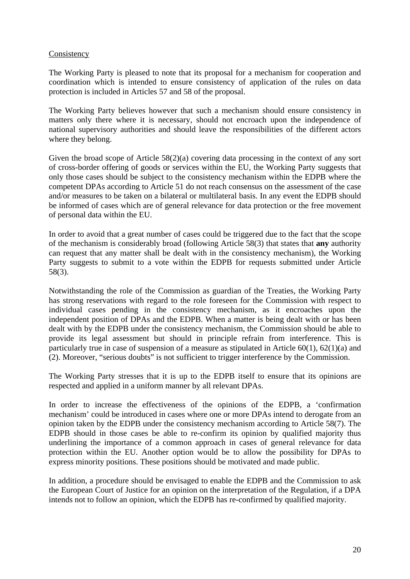### <span id="page-19-0"></span>Consistency

The Working Party is pleased to note that its proposal for a mechanism for cooperation and coordination which is intended to ensure consistency of application of the rules on data protection is included in Articles 57 and 58 of the proposal.

The Working Party believes however that such a mechanism should ensure consistency in matters only there where it is necessary, should not encroach upon the independence of national supervisory authorities and should leave the responsibilities of the different actors where they belong.

Given the broad scope of Article 58(2)(a) covering data processing in the context of any sort of cross-border offering of goods or services within the EU, the Working Party suggests that only those cases should be subject to the consistency mechanism within the EDPB where the competent DPAs according to Article 51 do not reach consensus on the assessment of the case and/or measures to be taken on a bilateral or multilateral basis. In any event the EDPB should be informed of cases which are of general relevance for data protection or the free movement of personal data within the EU.

In order to avoid that a great number of cases could be triggered due to the fact that the scope of the mechanism is considerably broad (following Article 58(3) that states that **any** authority can request that any matter shall be dealt with in the consistency mechanism), the Working Party suggests to submit to a vote within the EDPB for requests submitted under Article 58(3).

Notwithstanding the role of the Commission as guardian of the Treaties, the Working Party has strong reservations with regard to the role foreseen for the Commission with respect to individual cases pending in the consistency mechanism, as it encroaches upon the independent position of DPAs and the EDPB. When a matter is being dealt with or has been dealt with by the EDPB under the consistency mechanism, the Commission should be able to provide its legal assessment but should in principle refrain from interference. This is particularly true in case of suspension of a measure as stipulated in Article 60(1), 62(1)(a) and (2). Moreover, "serious doubts" is not sufficient to trigger interference by the Commission.

The Working Party stresses that it is up to the EDPB itself to ensure that its opinions are respected and applied in a uniform manner by all relevant DPAs.

In order to increase the effectiveness of the opinions of the EDPB, a 'confirmation mechanism' could be introduced in cases where one or more DPAs intend to derogate from an opinion taken by the EDPB under the consistency mechanism according to Article 58(7). The EDPB should in those cases be able to re-confirm its opinion by qualified majority thus underlining the importance of a common approach in cases of general relevance for data protection within the EU. Another option would be to allow the possibility for DPAs to express minority positions. These positions should be motivated and made public.

In addition, a procedure should be envisaged to enable the EDPB and the Commission to ask the European Court of Justice for an opinion on the interpretation of the Regulation, if a DPA intends not to follow an opinion, which the EDPB has re-confirmed by qualified majority.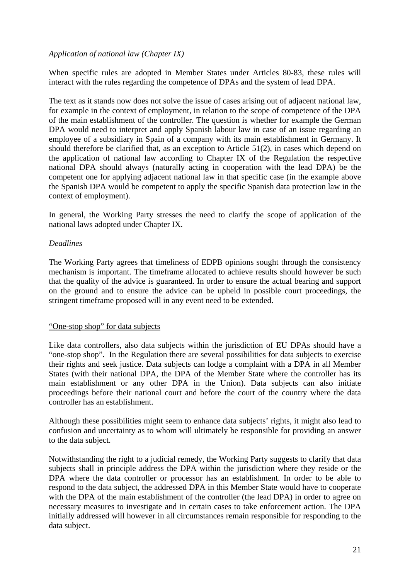## *Application of national law (Chapter IX)*

When specific rules are adopted in Member States under Articles 80-83, these rules will interact with the rules regarding the competence of DPAs and the system of lead DPA.

The text as it stands now does not solve the issue of cases arising out of adjacent national law, for example in the context of employment, in relation to the scope of competence of the DPA of the main establishment of the controller. The question is whether for example the German DPA would need to interpret and apply Spanish labour law in case of an issue regarding an employee of a subsidiary in Spain of a company with its main establishment in Germany. It should therefore be clarified that, as an exception to Article 51(2), in cases which depend on the application of national law according to Chapter IX of the Regulation the respective national DPA should always (naturally acting in cooperation with the lead DPA) be the competent one for applying adjacent national law in that specific case (in the example above the Spanish DPA would be competent to apply the specific Spanish data protection law in the context of employment).

In general, the Working Party stresses the need to clarify the scope of application of the national laws adopted under Chapter IX.

### *Deadlines*

The Working Party agrees that timeliness of EDPB opinions sought through the consistency mechanism is important. The timeframe allocated to achieve results should however be such that the quality of the advice is guaranteed. In order to ensure the actual bearing and support on the ground and to ensure the advice can be upheld in possible court proceedings, the stringent timeframe proposed will in any event need to be extended.

#### <span id="page-20-0"></span>"One-stop shop" for data subjects

Like data controllers, also data subjects within the jurisdiction of EU DPAs should have a "one-stop shop". In the Regulation there are several possibilities for data subjects to exercise their rights and seek justice. Data subjects can lodge a complaint with a DPA in all Member States (with their national DPA, the DPA of the Member State where the controller has its main establishment or any other DPA in the Union). Data subjects can also initiate proceedings before their national court and before the court of the country where the data controller has an establishment.

Although these possibilities might seem to enhance data subjects' rights, it might also lead to confusion and uncertainty as to whom will ultimately be responsible for providing an answer to the data subject.

Notwithstanding the right to a judicial remedy, the Working Party suggests to clarify that data subjects shall in principle address the DPA within the jurisdiction where they reside or the DPA where the data controller or processor has an establishment. In order to be able to respond to the data subject, the addressed DPA in this Member State would have to cooperate with the DPA of the main establishment of the controller (the lead DPA) in order to agree on necessary measures to investigate and in certain cases to take enforcement action. The DPA initially addressed will however in all circumstances remain responsible for responding to the data subject.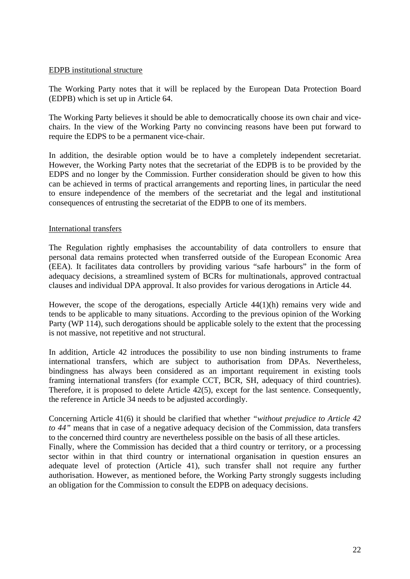#### <span id="page-21-0"></span>EDPB institutional structure

The Working Party notes that it will be replaced by the European Data Protection Board (EDPB) which is set up in Article 64.

The Working Party believes it should be able to democratically choose its own chair and vicechairs. In the view of the Working Party no convincing reasons have been put forward to require the EDPS to be a permanent vice-chair.

In addition, the desirable option would be to have a completely independent secretariat. However, the Working Party notes that the secretariat of the EDPB is to be provided by the EDPS and no longer by the Commission. Further consideration should be given to how this can be achieved in terms of practical arrangements and reporting lines, in particular the need to ensure independence of the members of the secretariat and the legal and institutional consequences of entrusting the secretariat of the EDPB to one of its members.

### <span id="page-21-1"></span>International transfers

The Regulation rightly emphasises the accountability of data controllers to ensure that personal data remains protected when transferred outside of the European Economic Area (EEA). It facilitates data controllers by providing various "safe harbours" in the form of adequacy decisions, a streamlined system of BCRs for multinationals, approved contractual clauses and individual DPA approval. It also provides for various derogations in Article 44.

However, the scope of the derogations, especially Article 44(1)(h) remains very wide and tends to be applicable to many situations. According to the previous opinion of the Working Party (WP 114), such derogations should be applicable solely to the extent that the processing is not massive, not repetitive and not structural.

In addition, Article 42 introduces the possibility to use non binding instruments to frame international transfers, which are subject to authorisation from DPAs. Nevertheless, bindingness has always been considered as an important requirement in existing tools framing international transfers (for example CCT, BCR, SH, adequacy of third countries). Therefore, it is proposed to delete Article 42(5), except for the last sentence. Consequently, the reference in Article 34 needs to be adjusted accordingly.

Concerning Article 41(6) it should be clarified that whether *"without prejudice to Article 42 to 44"* means that in case of a negative adequacy decision of the Commission, data transfers to the concerned third country are nevertheless possible on the basis of all these articles.

Finally, where the Commission has decided that a third country or territory, or a processing sector within in that third country or international organisation in question ensures an adequate level of protection (Article 41), such transfer shall not require any further authorisation. However, as mentioned before, the Working Party strongly suggests including an obligation for the Commission to consult the EDPB on adequacy decisions.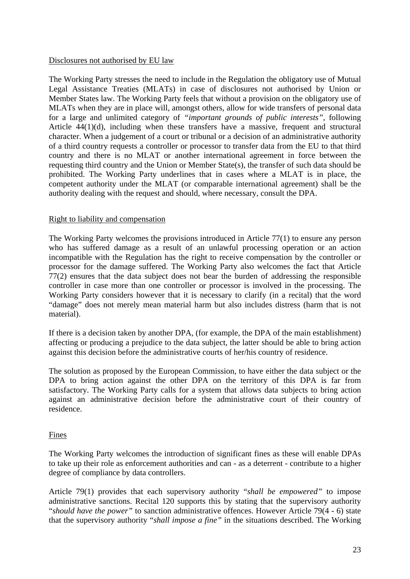#### Disclosures not authorised by EU law

The Working Party stresses the need to include in the Regulation the obligatory use of Mutual Legal Assistance Treaties (MLATs) in case of disclosures not authorised by Union or Member States law. The Working Party feels that without a provision on the obligatory use of MLATs when they are in place will, amongst others, allow for wide transfers of personal data for a large and unlimited category of *"important grounds of public interests",* following Article 44(1)(d), including when these transfers have a massive, frequent and structural character. When a judgement of a court or tribunal or a decision of an administrative authority of a third country requests a controller or processor to transfer data from the EU to that third country and there is no MLAT or another international agreement in force between the requesting third country and the Union or Member State(s), the transfer of such data should be prohibited. The Working Party underlines that in cases where a MLAT is in place, the competent authority under the MLAT (or comparable international agreement) shall be the authority dealing with the request and should, where necessary, consult the DPA.

#### <span id="page-22-1"></span>Right to liability and compensation

The Working Party welcomes the provisions introduced in Article 77(1) to ensure any person who has suffered damage as a result of an unlawful processing operation or an action incompatible with the Regulation has the right to receive compensation by the controller or processor for the damage suffered. The Working Party also welcomes the fact that Article 77(2) ensures that the data subject does not bear the burden of addressing the responsible controller in case more than one controller or processor is involved in the processing. The Working Party considers however that it is necessary to clarify (in a recital) that the word "damage" does not merely mean material harm but also includes distress (harm that is not material).

If there is a decision taken by another DPA, (for example, the DPA of the main establishment) affecting or producing a prejudice to the data subject, the latter should be able to bring action against this decision before the administrative courts of her/his country of residence.

The solution as proposed by the European Commission, to have either the data subject or the DPA to bring action against the other DPA on the territory of this DPA is far from satisfactory. The Working Party calls for a system that allows data subjects to bring action against an administrative decision before the administrative court of their country of residence.

#### <span id="page-22-2"></span>Fines

The Working Party welcomes the introduction of significant fines as these will enable DPAs to take up their role as enforcement authorities and can - as a deterrent - contribute to a higher degree of compliance by data controllers.

<span id="page-22-0"></span>Article 79(1) provides that each supervisory authority "*shall be empowered"* to impose administrative sanctions. Recital 120 supports this by stating that the supervisory authority "*should have the power"* to sanction administrative offences. However Article 79(4 - 6) state that the supervisory authority "*shall impose a fine"* in the situations described. The Working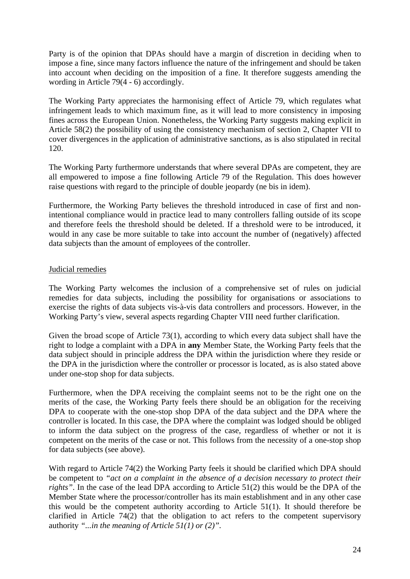Party is of the opinion that DPAs should have a margin of discretion in deciding when to impose a fine, since many factors influence the nature of the infringement and should be taken into account when deciding on the imposition of a fine. It therefore suggests amending the wording in Article 79(4 - 6) accordingly.

The Working Party appreciates the harmonising effect of Article 79, which regulates what infringement leads to which maximum fine, as it will lead to more consistency in imposing fines across the European Union. Nonetheless, the Working Party suggests making explicit in Article 58(2) the possibility of using the consistency mechanism of section 2, Chapter VII to cover divergences in the application of administrative sanctions, as is also stipulated in recital 120.

The Working Party furthermore understands that where several DPAs are competent, they are all empowered to impose a fine following Article 79 of the Regulation. This does however raise questions with regard to the principle of double jeopardy (ne bis in idem).

Furthermore, the Working Party believes the threshold introduced in case of first and nonintentional compliance would in practice lead to many controllers falling outside of its scope and therefore feels the threshold should be deleted. If a threshold were to be introduced, it would in any case be more suitable to take into account the number of (negatively) affected data subjects than the amount of employees of the controller.

### <span id="page-23-0"></span>Judicial remedies

The Working Party welcomes the inclusion of a comprehensive set of rules on judicial remedies for data subjects, including the possibility for organisations or associations to exercise the rights of data subjects vis-à-vis data controllers and processors. However, in the Working Party's view, several aspects regarding Chapter VIII need further clarification.

Given the broad scope of Article 73(1), according to which every data subject shall have the right to lodge a complaint with a DPA in **any** Member State, the Working Party feels that the data subject should in principle address the DPA within the jurisdiction where they reside or the DPA in the jurisdiction where the controller or processor is located, as is also stated above under one-stop shop for data subjects.

Furthermore, when the DPA receiving the complaint seems not to be the right one on the merits of the case, the Working Party feels there should be an obligation for the receiving DPA to cooperate with the one-stop shop DPA of the data subject and the DPA where the controller is located. In this case, the DPA where the complaint was lodged should be obliged to inform the data subject on the progress of the case, regardless of whether or not it is competent on the merits of the case or not. This follows from the necessity of a one-stop shop for data subjects (see above).

With regard to Article 74(2) the Working Party feels it should be clarified which DPA should be competent to *"act on a complaint in the absence of a decision necessary to protect their rights"*. In the case of the lead DPA according to Article 51(2) this would be the DPA of the Member State where the processor/controller has its main establishment and in any other case this would be the competent authority according to Article 51(1). It should therefore be clarified in Article 74(2) that the obligation to act refers to the competent supervisory authority *"...in the meaning of Article 51(1) or (2)".*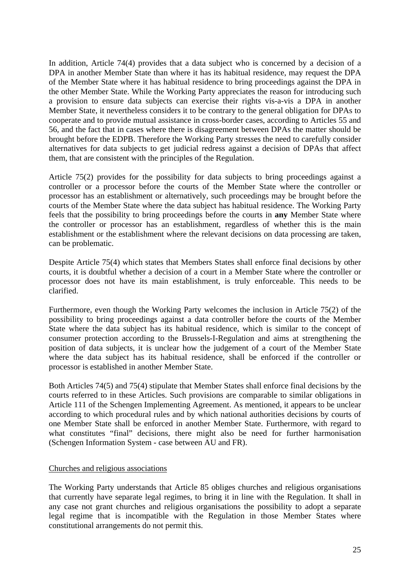In addition, Article 74(4) provides that a data subject who is concerned by a decision of a DPA in another Member State than where it has its habitual residence, may request the DPA of the Member State where it has habitual residence to bring proceedings against the DPA in the other Member State. While the Working Party appreciates the reason for introducing such a provision to ensure data subjects can exercise their rights vis-a-vis a DPA in another Member State, it nevertheless considers it to be contrary to the general obligation for DPAs to cooperate and to provide mutual assistance in cross-border cases, according to Articles 55 and 56, and the fact that in cases where there is disagreement between DPAs the matter should be brought before the EDPB. Therefore the Working Party stresses the need to carefully consider alternatives for data subjects to get judicial redress against a decision of DPAs that affect them, that are consistent with the principles of the Regulation.

Article 75(2) provides for the possibility for data subjects to bring proceedings against a controller or a processor before the courts of the Member State where the controller or processor has an establishment or alternatively, such proceedings may be brought before the courts of the Member State where the data subject has habitual residence. The Working Party feels that the possibility to bring proceedings before the courts in **any** Member State where the controller or processor has an establishment, regardless of whether this is the main establishment or the establishment where the relevant decisions on data processing are taken, can be problematic.

Despite Article 75(4) which states that Members States shall enforce final decisions by other courts, it is doubtful whether a decision of a court in a Member State where the controller or processor does not have its main establishment, is truly enforceable. This needs to be clarified.

Furthermore, even though the Working Party welcomes the inclusion in Article 75(2) of the possibility to bring proceedings against a data controller before the courts of the Member State where the data subject has its habitual residence, which is similar to the concept of consumer protection according to the Brussels-I-Regulation and aims at strengthening the position of data subjects, it is unclear how the judgement of a court of the Member State where the data subject has its habitual residence, shall be enforced if the controller or processor is established in another Member State.

Both Articles 74(5) and 75(4) stipulate that Member States shall enforce final decisions by the courts referred to in these Articles. Such provisions are comparable to similar obligations in Article 111 of the Schengen Implementing Agreement. As mentioned, it appears to be unclear according to which procedural rules and by which national authorities decisions by courts of one Member State shall be enforced in another Member State. Furthermore, with regard to what constitutes "final" decisions, there might also be need for further harmonisation (Schengen Information System - case between AU and FR).

#### <span id="page-24-0"></span>Churches and religious associations

The Working Party understands that Article 85 obliges churches and religious organisations that currently have separate legal regimes, to bring it in line with the Regulation. It shall in any case not grant churches and religious organisations the possibility to adopt a separate legal regime that is incompatible with the Regulation in those Member States where constitutional arrangements do not permit this.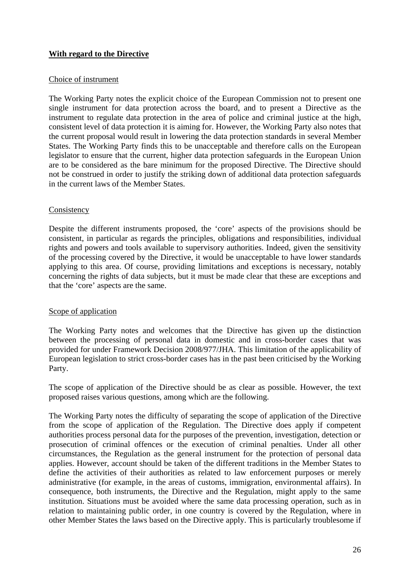## <span id="page-25-0"></span>**With regard to the Directive**

#### <span id="page-25-1"></span>Choice of instrument

The Working Party notes the explicit choice of the European Commission not to present one single instrument for data protection across the board, and to present a Directive as the instrument to regulate data protection in the area of police and criminal justice at the high, consistent level of data protection it is aiming for. However, the Working Party also notes that the current proposal would result in lowering the data protection standards in several Member States. The Working Party finds this to be unacceptable and therefore calls on the European legislator to ensure that the current, higher data protection safeguards in the European Union are to be considered as the bare minimum for the proposed Directive. The Directive should not be construed in order to justify the striking down of additional data protection safeguards in the current laws of the Member States.

### <span id="page-25-2"></span>Consistency

Despite the different instruments proposed, the 'core' aspects of the provisions should be consistent, in particular as regards the principles, obligations and responsibilities, individual rights and powers and tools available to supervisory authorities. Indeed, given the sensitivity of the processing covered by the Directive, it would be unacceptable to have lower standards applying to this area. Of course, providing limitations and exceptions is necessary, notably concerning the rights of data subjects, but it must be made clear that these are exceptions and that the 'core' aspects are the same.

## <span id="page-25-3"></span>Scope of application

The Working Party notes and welcomes that the Directive has given up the distinction between the processing of personal data in domestic and in cross-border cases that was provided for under Framework Decision 2008/977/JHA. This limitation of the applicability of European legislation to strict cross-border cases has in the past been criticised by the Working Party.

The scope of application of the Directive should be as clear as possible. However, the text proposed raises various questions, among which are the following.

The Working Party notes the difficulty of separating the scope of application of the Directive from the scope of application of the Regulation. The Directive does apply if competent authorities process personal data for the purposes of the prevention, investigation, detection or prosecution of criminal offences or the execution of criminal penalties. Under all other circumstances, the Regulation as the general instrument for the protection of personal data applies. However, account should be taken of the different traditions in the Member States to define the activities of their authorities as related to law enforcement purposes or merely administrative (for example, in the areas of customs, immigration, environmental affairs). In consequence, both instruments, the Directive and the Regulation, might apply to the same institution. Situations must be avoided where the same data processing operation, such as in relation to maintaining public order, in one country is covered by the Regulation, where in other Member States the laws based on the Directive apply. This is particularly troublesome if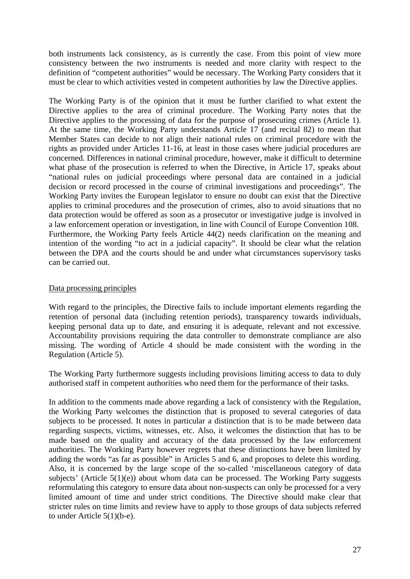both instruments lack consistency, as is currently the case. From this point of view more consistency between the two instruments is needed and more clarity with respect to the definition of "competent authorities" would be necessary. The Working Party considers that it must be clear to which activities vested in competent authorities by law the Directive applies.

The Working Party is of the opinion that it must be further clarified to what extent the Directive applies to the area of criminal procedure. The Working Party notes that the Directive applies to the processing of data for the purpose of prosecuting crimes (Article 1). At the same time, the Working Party understands Article 17 (and recital 82) to mean that Member States can decide to not align their national rules on criminal procedure with the rights as provided under Articles 11-16, at least in those cases where judicial procedures are concerned. Differences in national criminal procedure, however, make it difficult to determine what phase of the prosecution is referred to when the Directive, in Article 17, speaks about "national rules on judicial proceedings where personal data are contained in a judicial decision or record processed in the course of criminal investigations and proceedings". The Working Party invites the European legislator to ensure no doubt can exist that the Directive applies to criminal procedures and the prosecution of crimes, also to avoid situations that no data protection would be offered as soon as a prosecutor or investigative judge is involved in a law enforcement operation or investigation, in line with Council of Europe Convention 108. Furthermore, the Working Party feels Article 44(2) needs clarification on the meaning and intention of the wording "to act in a judicial capacity". It should be clear what the relation between the DPA and the courts should be and under what circumstances supervisory tasks can be carried out.

### <span id="page-26-0"></span>Data processing principles

With regard to the principles, the Directive fails to include important elements regarding the retention of personal data (including retention periods), transparency towards individuals, keeping personal data up to date, and ensuring it is adequate, relevant and not excessive. Accountability provisions requiring the data controller to demonstrate compliance are also missing. The wording of Article 4 should be made consistent with the wording in the Regulation (Article 5).

The Working Party furthermore suggests including provisions limiting access to data to duly authorised staff in competent authorities who need them for the performance of their tasks.

In addition to the comments made above regarding a lack of consistency with the Regulation, the Working Party welcomes the distinction that is proposed to several categories of data subjects to be processed. It notes in particular a distinction that is to be made between data regarding suspects, victims, witnesses, etc. Also, it welcomes the distinction that has to be made based on the quality and accuracy of the data processed by the law enforcement authorities. The Working Party however regrets that these distinctions have been limited by adding the words "as far as possible" in Articles 5 and 6, and proposes to delete this wording. Also, it is concerned by the large scope of the so-called 'miscellaneous category of data subjects' (Article 5(1)(e)) about whom data can be processed. The Working Party suggests reformulating this category to ensure data about non-suspects can only be processed for a very limited amount of time and under strict conditions. The Directive should make clear that stricter rules on time limits and review have to apply to those groups of data subjects referred to under Article 5(1)(b-e).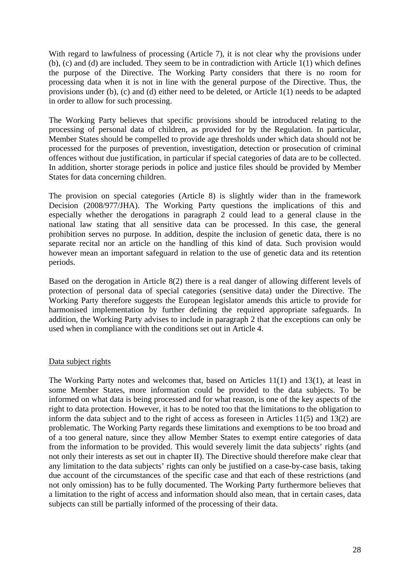With regard to lawfulness of processing (Article 7), it is not clear why the provisions under (b), (c) and (d) are included. They seem to be in contradiction with Article 1(1) which defines the purpose of the Directive. The Working Party considers that there is no room for processing data when it is not in line with the general purpose of the Directive. Thus, the provisions under (b), (c) and (d) either need to be deleted, or Article 1(1) needs to be adapted in order to allow for such processing.

The Working Party believes that specific provisions should be introduced relating to the processing of personal data of children, as provided for by the Regulation. In particular, Member States should be compelled to provide age thresholds under which data should not be processed for the purposes of prevention, investigation, detection or prosecution of criminal offences without due justification, in particular if special categories of data are to be collected. In addition, shorter storage periods in police and justice files should be provided by Member States for data concerning children.

The provision on special categories (Article 8) is slightly wider than in the framework Decision (2008/977/JHA). The Working Party questions the implications of this and especially whether the derogations in paragraph 2 could lead to a general clause in the national law stating that all sensitive data can be processed. In this case, the general prohibition serves no purpose. In addition, despite the inclusion of genetic data, there is no separate recital nor an article on the handling of this kind of data. Such provision would however mean an important safeguard in relation to the use of genetic data and its retention periods.

Based on the derogation in Article 8(2) there is a real danger of allowing different levels of protection of personal data of special categories (sensitive data) under the Directive. The Working Party therefore suggests the European legislator amends this article to provide for harmonised implementation by further defining the required appropriate safeguards. In addition, the Working Party advises to include in paragraph 2 that the exceptions can only be used when in compliance with the conditions set out in Article 4.

#### <span id="page-27-0"></span>Data subject rights

The Working Party notes and welcomes that, based on Articles 11(1) and 13(1), at least in some Member States, more information could be provided to the data subjects. To be informed on what data is being processed and for what reason, is one of the key aspects of the right to data protection. However, it has to be noted too that the limitations to the obligation to inform the data subject and to the right of access as foreseen in Articles 11(5) and 13(2) are problematic. The Working Party regards these limitations and exemptions to be too broad and of a too general nature, since they allow Member States to exempt entire categories of data from the information to be provided. This would severely limit the data subjects' rights (and not only their interests as set out in chapter II). The Directive should therefore make clear that any limitation to the data subjects' rights can only be justified on a case-by-case basis, taking due account of the circumstances of the specific case and that each of these restrictions (and not only omission) has to be fully documented. The Working Party furthermore believes that a limitation to the right of access and information should also mean, that in certain cases, data subjects can still be partially informed of the processing of their data.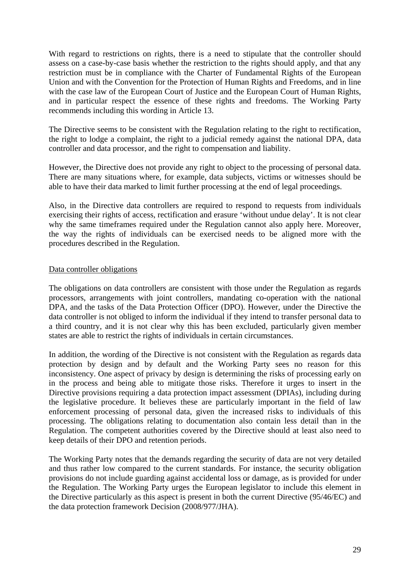With regard to restrictions on rights, there is a need to stipulate that the controller should assess on a case-by-case basis whether the restriction to the rights should apply, and that any restriction must be in compliance with the Charter of Fundamental Rights of the European Union and with the Convention for the Protection of Human Rights and Freedoms, and in line with the case law of the European Court of Justice and the European Court of Human Rights, and in particular respect the essence of these rights and freedoms. The Working Party recommends including this wording in Article 13.

The Directive seems to be consistent with the Regulation relating to the right to rectification, the right to lodge a complaint, the right to a judicial remedy against the national DPA, data controller and data processor, and the right to compensation and liability.

However, the Directive does not provide any right to object to the processing of personal data. There are many situations where, for example, data subjects, victims or witnesses should be able to have their data marked to limit further processing at the end of legal proceedings.

Also, in the Directive data controllers are required to respond to requests from individuals exercising their rights of access, rectification and erasure 'without undue delay'. It is not clear why the same timeframes required under the Regulation cannot also apply here. Moreover, the way the rights of individuals can be exercised needs to be aligned more with the procedures described in the Regulation.

### <span id="page-28-0"></span>Data controller obligations

The obligations on data controllers are consistent with those under the Regulation as regards processors, arrangements with joint controllers, mandating co-operation with the national DPA, and the tasks of the Data Protection Officer (DPO). However, under the Directive the data controller is not obliged to inform the individual if they intend to transfer personal data to a third country, and it is not clear why this has been excluded, particularly given member states are able to restrict the rights of individuals in certain circumstances.

In addition, the wording of the Directive is not consistent with the Regulation as regards data protection by design and by default and the Working Party sees no reason for this inconsistency. One aspect of privacy by design is determining the risks of processing early on in the process and being able to mitigate those risks. Therefore it urges to insert in the Directive provisions requiring a data protection impact assessment (DPIAs), including during the legislative procedure. It believes these are particularly important in the field of law enforcement processing of personal data, given the increased risks to individuals of this processing. The obligations relating to documentation also contain less detail than in the Regulation. The competent authorities covered by the Directive should at least also need to keep details of their DPO and retention periods.

The Working Party notes that the demands regarding the security of data are not very detailed and thus rather low compared to the current standards. For instance, the security obligation provisions do not include guarding against accidental loss or damage, as is provided for under the Regulation. The Working Party urges the European legislator to include this element in the Directive particularly as this aspect is present in both the current Directive (95/46/EC) and the data protection framework Decision (2008/977/JHA).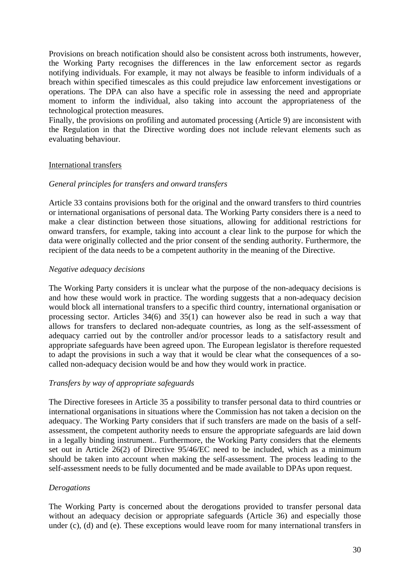Provisions on breach notification should also be consistent across both instruments, however, the Working Party recognises the differences in the law enforcement sector as regards notifying individuals. For example, it may not always be feasible to inform individuals of a breach within specified timescales as this could prejudice law enforcement investigations or operations. The DPA can also have a specific role in assessing the need and appropriate moment to inform the individual, also taking into account the appropriateness of the technological protection measures.

Finally, the provisions on profiling and automated processing (Article 9) are inconsistent with the Regulation in that the Directive wording does not include relevant elements such as evaluating behaviour.

#### <span id="page-29-0"></span>International transfers

### *General principles for transfers and onward transfers*

Article 33 contains provisions both for the original and the onward transfers to third countries or international organisations of personal data. The Working Party considers there is a need to make a clear distinction between those situations, allowing for additional restrictions for onward transfers, for example, taking into account a clear link to the purpose for which the data were originally collected and the prior consent of the sending authority. Furthermore, the recipient of the data needs to be a competent authority in the meaning of the Directive.

#### *Negative adequacy decisions*

The Working Party considers it is unclear what the purpose of the non-adequacy decisions is and how these would work in practice. The wording suggests that a non-adequacy decision would block all international transfers to a specific third country, international organisation or processing sector. Articles 34(6) and 35(1) can however also be read in such a way that allows for transfers to declared non-adequate countries, as long as the self-assessment of adequacy carried out by the controller and/or processor leads to a satisfactory result and appropriate safeguards have been agreed upon. The European legislator is therefore requested to adapt the provisions in such a way that it would be clear what the consequences of a socalled non-adequacy decision would be and how they would work in practice.

#### *Transfers by way of appropriate safeguards*

The Directive foresees in Article 35 a possibility to transfer personal data to third countries or international organisations in situations where the Commission has not taken a decision on the adequacy. The Working Party considers that if such transfers are made on the basis of a selfassessment, the competent authority needs to ensure the appropriate safeguards are laid down in a legally binding instrument.. Furthermore, the Working Party considers that the elements set out in Article 26(2) of Directive 95/46/EC need to be included, which as a minimum should be taken into account when making the self-assessment. The process leading to the self-assessment needs to be fully documented and be made available to DPAs upon request.

#### *Derogations*

The Working Party is concerned about the derogations provided to transfer personal data without an adequacy decision or appropriate safeguards (Article 36) and especially those under (c), (d) and (e). These exceptions would leave room for many international transfers in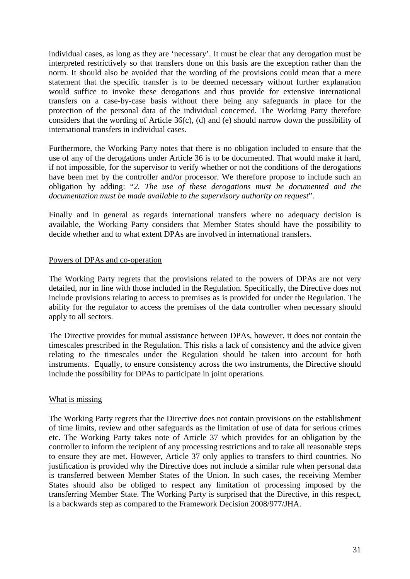individual cases, as long as they are 'necessary'. It must be clear that any derogation must be interpreted restrictively so that transfers done on this basis are the exception rather than the norm. It should also be avoided that the wording of the provisions could mean that a mere statement that the specific transfer is to be deemed necessary without further explanation would suffice to invoke these derogations and thus provide for extensive international transfers on a case-by-case basis without there being any safeguards in place for the protection of the personal data of the individual concerned. The Working Party therefore considers that the wording of Article 36(c), (d) and (e) should narrow down the possibility of international transfers in individual cases.

Furthermore, the Working Party notes that there is no obligation included to ensure that the use of any of the derogations under Article 36 is to be documented. That would make it hard, if not impossible, for the supervisor to verify whether or not the conditions of the derogations have been met by the controller and/or processor. We therefore propose to include such an obligation by adding: "*2. The use of these derogations must be documented and the documentation must be made available to the supervisory authority on request*".

Finally and in general as regards international transfers where no adequacy decision is available, the Working Party considers that Member States should have the possibility to decide whether and to what extent DPAs are involved in international transfers.

#### <span id="page-30-0"></span>Powers of DPAs and co-operation

The Working Party regrets that the provisions related to the powers of DPAs are not very detailed, nor in line with those included in the Regulation. Specifically, the Directive does not include provisions relating to access to premises as is provided for under the Regulation. The ability for the regulator to access the premises of the data controller when necessary should apply to all sectors.

The Directive provides for mutual assistance between DPAs, however, it does not contain the timescales prescribed in the Regulation. This risks a lack of consistency and the advice given relating to the timescales under the Regulation should be taken into account for both instruments. Equally, to ensure consistency across the two instruments, the Directive should include the possibility for DPAs to participate in joint operations.

#### <span id="page-30-1"></span>What is missing

The Working Party regrets that the Directive does not contain provisions on the establishment of time limits, review and other safeguards as the limitation of use of data for serious crimes etc. The Working Party takes note of Article 37 which provides for an obligation by the controller to inform the recipient of any processing restrictions and to take all reasonable steps to ensure they are met. However, Article 37 only applies to transfers to third countries. No justification is provided why the Directive does not include a similar rule when personal data is transferred between Member States of the Union. In such cases, the receiving Member States should also be obliged to respect any limitation of processing imposed by the transferring Member State. The Working Party is surprised that the Directive, in this respect, is a backwards step as compared to the Framework Decision 2008/977/JHA.